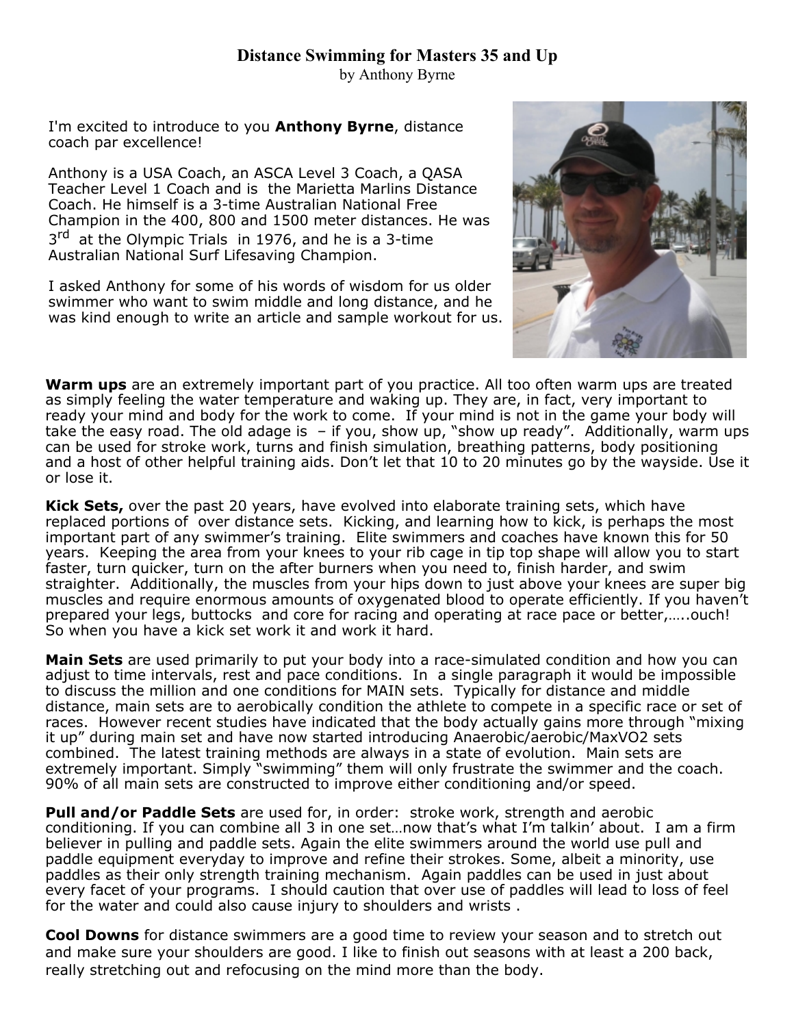# **Distance Swimming for Masters 35 and Up**

by Anthony Byrne

I'm excited to introduce to you **Anthony Byrne**, distance coach par excellence!

Anthony is a USA Coach, an ASCA Level 3 Coach, a QASA Teacher Level 1 Coach and is the Marietta Marlins Distance Coach. He himself is a 3-time Australian National Free Champion in the 400, 800 and 1500 meter distances. He was 3<sup>rd</sup> at the Olympic Trials in 1976, and he is a 3-time Australian National Surf Lifesaving Champion.

I asked Anthony for some of his words of wisdom for us older swimmer who want to swim middle and long distance, and he was kind enough to write an article and sample workout for us.



**Warm ups** are an extremely important part of you practice. All too often warm ups are treated as simply feeling the water temperature and waking up. They are, in fact, very important to ready your mind and body for the work to come. If your mind is not in the game your body will take the easy road. The old adage is  $-$  if you, show up, "show up ready". Additionally, warm ups can be used for stroke work, turns and finish simulation, breathing patterns, body positioning and a host of other helpful training aids. Don't let that 10 to 20 minutes go by the wayside. Use it or lose it.

**Kick Sets,** over the past 20 years, have evolved into elaborate training sets, which have replaced portions of over distance sets. Kicking, and learning how to kick, is perhaps the most important part of any swimmer's training. Elite swimmers and coaches have known this for 50 years. Keeping the area from your knees to your rib cage in tip top shape will allow you to start faster, turn quicker, turn on the after burners when you need to, finish harder, and swim straighter. Additionally, the muscles from your hips down to just above your knees are super big muscles and require enormous amounts of oxygenated blood to operate efficiently. If you haven't prepared your legs, buttocks and core for racing and operating at race pace or better,…..ouch! So when you have a kick set work it and work it hard.

**Main Sets** are used primarily to put your body into a race-simulated condition and how you can adjust to time intervals, rest and pace conditions. In a single paragraph it would be impossible to discuss the million and one conditions for MAIN sets. Typically for distance and middle distance, main sets are to aerobically condition the athlete to compete in a specific race or set of races. However recent studies have indicated that the body actually gains more through "mixing it up" during main set and have now started introducing Anaerobic/aerobic/MaxVO2 sets combined. The latest training methods are always in a state of evolution. Main sets are extremely important. Simply "swimming" them will only frustrate the swimmer and the coach. 90% of all main sets are constructed to improve either conditioning and/or speed.

**Pull and/or Paddle Sets** are used for, in order: stroke work, strength and aerobic conditioning. If you can combine all 3 in one set…now that's what I'm talkin' about. I am a firm believer in pulling and paddle sets. Again the elite swimmers around the world use pull and paddle equipment everyday to improve and refine their strokes. Some, albeit a minority, use paddles as their only strength training mechanism. Again paddles can be used in just about every facet of your programs. I should caution that over use of paddles will lead to loss of feel for the water and could also cause injury to shoulders and wrists .

**Cool Downs** for distance swimmers are a good time to review your season and to stretch out and make sure your shoulders are good. I like to finish out seasons with at least a 200 back, really stretching out and refocusing on the mind more than the body.